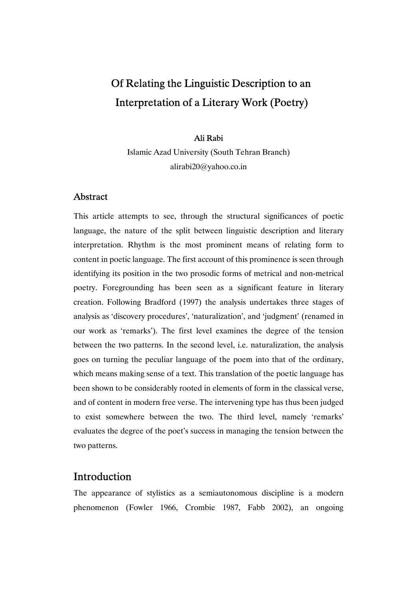# Of Relating the Linguistic Description to an Interpretation of a Literary Work (Poetry)

#### Ali Rabi

 Islamic Azad University (South Tehran Branch) alirabi20@yahoo.co.in

## Abstract

This article attempts to see, through the structural significances of poetic language, the nature of the split between linguistic description and literary interpretation. Rhythm is the most prominent means of relating form to content in poetic language. The first account of this prominence is seen through identifying its position in the two prosodic forms of metrical and non-metrical poetry. Foregrounding has been seen as a significant feature in literary creation. Following Bradford (1997) the analysis undertakes three stages of analysis as 'discovery procedures', 'naturalization', and 'judgment' (renamed in our work as 'remarks'). The first level examines the degree of the tension between the two patterns. In the second level, i.e. naturalization, the analysis goes on turning the peculiar language of the poem into that of the ordinary, which means making sense of a text. This translation of the poetic language has been shown to be considerably rooted in elements of form in the classical verse, and of content in modern free verse. The intervening type has thus been judged to exist somewhere between the two. The third level, namely 'remarks' evaluates the degree of the poet's success in managing the tension between the two patterns.

# Introduction

The appearance of stylistics as a semiautonomous discipline is a modern phenomenon (Fowler 1966, Crombie 1987, Fabb 2002), an ongoing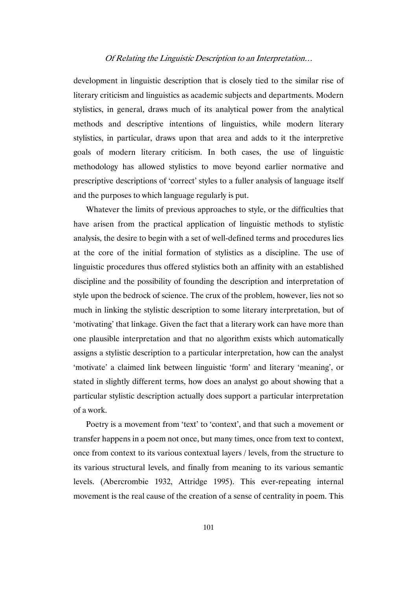development in linguistic description that is closely tied to the similar rise of literary criticism and linguistics as academic subjects and departments. Modern stylistics, in general, draws much of its analytical power from the analytical methods and descriptive intentions of linguistics, while modern literary stylistics, in particular, draws upon that area and adds to it the interpretive goals of modern literary criticism. In both cases, the use of linguistic methodology has allowed stylistics to move beyond earlier normative and prescriptive descriptions of 'correct' styles to a fuller analysis of language itself and the purposes to which language regularly is put.

Whatever the limits of previous approaches to style, or the difficulties that have arisen from the practical application of linguistic methods to stylistic analysis, the desire to begin with a set of well-defined terms and procedures lies at the core of the initial formation of stylistics as a discipline. The use of linguistic procedures thus offered stylistics both an affinity with an established discipline and the possibility of founding the description and interpretation of style upon the bedrock of science. The crux of the problem, however, lies not so much in linking the stylistic description to some literary interpretation, but of 'motivating' that linkage. Given the fact that a literary work can have more than one plausible interpretation and that no algorithm exists which automatically assigns a stylistic description to a particular interpretation, how can the analyst 'motivate' a claimed link between linguistic 'form' and literary 'meaning', or stated in slightly different terms, how does an analyst go about showing that a particular stylistic description actually does support a particular interpretation of a work.

Poetry is a movement from 'text' to 'context', and that such a movement or transfer happens in a poem not once, but many times, once from text to context, once from context to its various contextual layers / levels, from the structure to its various structural levels, and finally from meaning to its various semantic levels. (Abercrombie 1932, Attridge 1995). This ever-repeating internal movement is the real cause of the creation of a sense of centrality in poem. This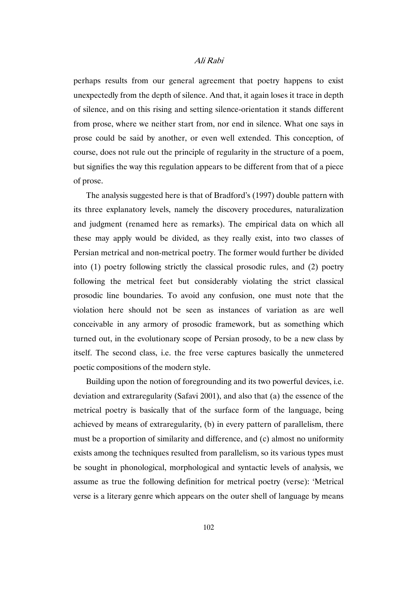perhaps results from our general agreement that poetry happens to exist unexpectedly from the depth of silence. And that, it again loses it trace in depth of silence, and on this rising and setting silence-orientation it stands different from prose, where we neither start from, nor end in silence. What one says in prose could be said by another, or even well extended. This conception, of course, does not rule out the principle of regularity in the structure of a poem, but signifies the way this regulation appears to be different from that of a piece of prose.

The analysis suggested here is that of Bradford's (1997) double pattern with its three explanatory levels, namely the discovery procedures, naturalization and judgment (renamed here as remarks). The empirical data on which all these may apply would be divided, as they really exist, into two classes of Persian metrical and non-metrical poetry. The former would further be divided into (1) poetry following strictly the classical prosodic rules, and (2) poetry following the metrical feet but considerably violating the strict classical prosodic line boundaries. To avoid any confusion, one must note that the violation here should not be seen as instances of variation as are well conceivable in any armory of prosodic framework, but as something which turned out, in the evolutionary scope of Persian prosody, to be a new class by itself. The second class, i.e. the free verse captures basically the unmetered poetic compositions of the modern style.

Building upon the notion of foregrounding and its two powerful devices, i.e. deviation and extraregularity (Safavi 2001), and also that (a) the essence of the metrical poetry is basically that of the surface form of the language, being achieved by means of extraregularity, (b) in every pattern of parallelism, there must be a proportion of similarity and difference, and (c) almost no uniformity exists among the techniques resulted from parallelism, so its various types must be sought in phonological, morphological and syntactic levels of analysis, we assume as true the following definition for metrical poetry (verse): 'Metrical verse is a literary genre which appears on the outer shell of language by means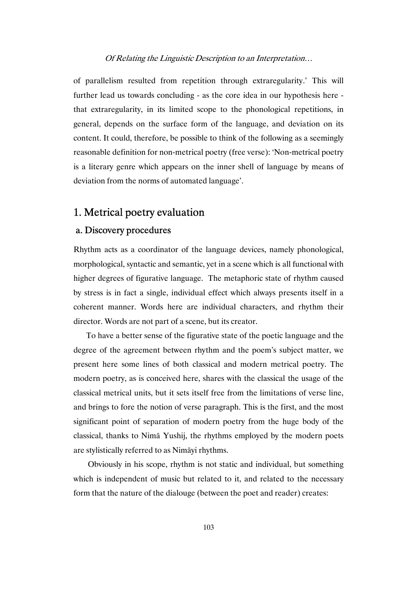of parallelism resulted from repetition through extraregularity.' This will further lead us towards concluding - as the core idea in our hypothesis here that extraregularity, in its limited scope to the phonological repetitions, in general, depends on the surface form of the language, and deviation on its content. It could, therefore, be possible to think of the following as a seemingly reasonable definition for non-metrical poetry (free verse): 'Non-metrical poetry is a literary genre which appears on the inner shell of language by means of deviation from the norms of automated language'.

# 1. Metrical poetry evaluation

## a. Discovery procedures

Rhythm acts as a coordinator of the language devices, namely phonological, morphological, syntactic and semantic, yet in a scene which is all functional with higher degrees of figurative language. The metaphoric state of rhythm caused by stress is in fact a single, individual effect which always presents itself in a coherent manner. Words here are individual characters, and rhythm their director. Words are not part of a scene, but its creator.

To have a better sense of the figurative state of the poetic language and the degree of the agreement between rhythm and the poem's subject matter, we present here some lines of both classical and modern metrical poetry. The modern poetry, as is conceived here, shares with the classical the usage of the classical metrical units, but it sets itself free from the limitations of verse line, and brings to fore the notion of verse paragraph. This is the first, and the most significant point of separation of modern poetry from the huge body of the classical, thanks to Nimā Yushij, the rhythms employed by the modern poets are stylistically referred to as Nimāyi rhythms.

 Obviously in his scope, rhythm is not static and individual, but something which is independent of music but related to it, and related to the necessary form that the nature of the dialouge (between the poet and reader) creates: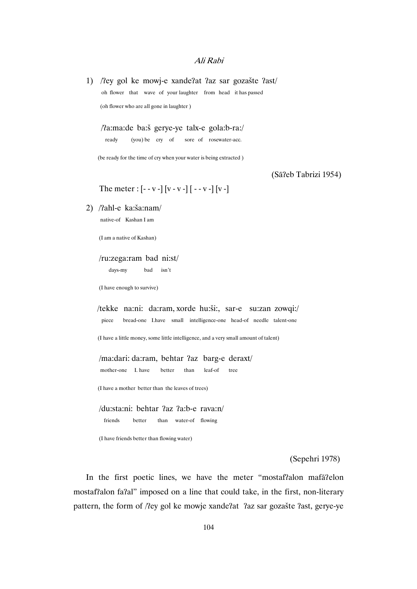1) /ʔey gol ke mowj-e xandeʔat ʔaz sar gozašte ʔast/ oh flower that wave of your laughter from head it has passed (oh flower who are all gone in laughter )

/ʔa:ma:de ba:š gerye-ye talx-e gola:b-ra:/

ready (you) be cry of sore of rosewater-acc.

(be ready for the time of cry when your water is being extracted )

(Sāʔeb Tabrizi 1954)

The meter :  $[- -v -] [v - v -] [- -v -] [v -]$ 

2) /ʔahl-e ka:ša:nam/

native-of Kashan I am

(I am a native of Kashan)

#### /ru:zega:ram bad ni:st/

days-my bad isn't

(I have enough to survive)

 /tekke na:ni: da:ram, xorde hu:ši:, sar-e su:zan zowqi:/ piece bread-one I.have small intelligence-one head-of needle talent-one

(I have a little money, some little intelligence, and a very small amount of talent)

 /ma:dari: da:ram, behtar ʔaz barg-e deraxt/ mother-one I. have better than leaf-of tree

(I have a mother better than the leaves of trees)

 /du:sta:ni: behtar ʔaz ʔa:b-e rava:n/ friends better than water-of flowing

(I have friends better than flowing water)

(Sepehri 1978)

In the first poetic lines, we have the meter "mostafʔalon mafāʔelon mostafʔalon faʔal" imposed on a line that could take, in the first, non-literary pattern, the form of /ʔey gol ke mowje xandeʔat ʔaz sar gozašte ʔast, gerye-ye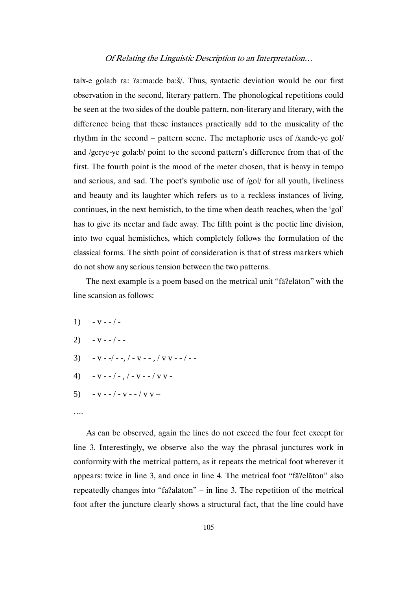talx-e gola:b ra: ʔa:ma:de ba:š/. Thus, syntactic deviation would be our first observation in the second, literary pattern. The phonological repetitions could be seen at the two sides of the double pattern, non-literary and literary, with the difference being that these instances practically add to the musicality of the rhythm in the second – pattern scene. The metaphoric uses of /xande-ye gol/ and /gerye-ye gola:b/ point to the second pattern's difference from that of the first. The fourth point is the mood of the meter chosen, that is heavy in tempo and serious, and sad. The poet's symbolic use of /gol/ for all youth, liveliness and beauty and its laughter which refers us to a reckless instances of living, continues, in the next hemistich, to the time when death reaches, when the 'gol' has to give its nectar and fade away. The fifth point is the poetic line division, into two equal hemistiches, which completely follows the formulation of the classical forms. The sixth point of consideration is that of stress markers which do not show any serious tension between the two patterns.

The next example is a poem based on the metrical unit "fāʔelāton" with the line scansion as follows:

- 1)  $v / -$
- $2) v (-$
- 3)  $-v -/ -$ ,  $-v -$ ,  $/v -/ -$
- 4)  $-V = -(-\frac{1}{2}) V = -\frac{1}{2}V -$
- 5)  $v / v / v -$

As can be observed, again the lines do not exceed the four feet except for line 3. Interestingly, we observe also the way the phrasal junctures work in conformity with the metrical pattern, as it repeats the metrical foot wherever it appears: twice in line 3, and once in line 4. The metrical foot "fāʔelāton" also repeatedly changes into "faʔalāton" – in line 3. The repetition of the metrical foot after the juncture clearly shows a structural fact, that the line could have

<sup>….</sup>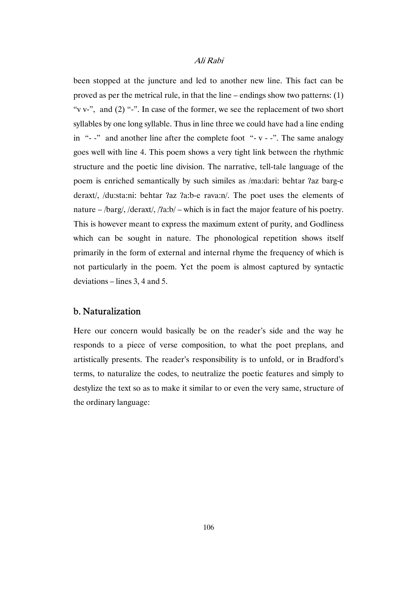been stopped at the juncture and led to another new line. This fact can be proved as per the metrical rule, in that the line – endings show two patterns: (1) "v v-", and (2) "-". In case of the former, we see the replacement of two short syllables by one long syllable. Thus in line three we could have had a line ending in " $-$ -" and another line after the complete foot " $-$  v  $-$ -". The same analogy goes well with line 4. This poem shows a very tight link between the rhythmic structure and the poetic line division. The narrative, tell-tale language of the poem is enriched semantically by such similes as /ma:dari: behtar ʔaz barg-e deraxt/, /du:sta:ni: behtar ʔaz ʔa:b-e rava:n/. The poet uses the elements of nature – /barg/, /deraxt/, /ʔa:b/ – which is in fact the major feature of his poetry. This is however meant to express the maximum extent of purity, and Godliness which can be sought in nature. The phonological repetition shows itself primarily in the form of external and internal rhyme the frequency of which is not particularly in the poem. Yet the poem is almost captured by syntactic deviations – lines 3, 4 and 5.

## b. Naturalization

Here our concern would basically be on the reader's side and the way he responds to a piece of verse composition, to what the poet preplans, and artistically presents. The reader's responsibility is to unfold, or in Bradford's terms, to naturalize the codes, to neutralize the poetic features and simply to destylize the text so as to make it similar to or even the very same, structure of the ordinary language: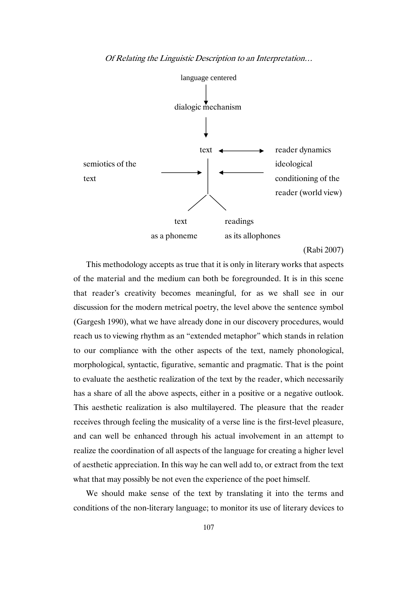

(Rabi 2007)

This methodology accepts as true that it is only in literary works that aspects of the material and the medium can both be foregrounded. It is in this scene that reader's creativity becomes meaningful, for as we shall see in our discussion for the modern metrical poetry, the level above the sentence symbol (Gargesh 1990), what we have already done in our discovery procedures, would reach us to viewing rhythm as an "extended metaphor" which stands in relation to our compliance with the other aspects of the text, namely phonological, morphological, syntactic, figurative, semantic and pragmatic. That is the point to evaluate the aesthetic realization of the text by the reader, which necessarily has a share of all the above aspects, either in a positive or a negative outlook. This aesthetic realization is also multilayered. The pleasure that the reader receives through feeling the musicality of a verse line is the first-level pleasure, and can well be enhanced through his actual involvement in an attempt to realize the coordination of all aspects of the language for creating a higher level of aesthetic appreciation. In this way he can well add to, or extract from the text what that may possibly be not even the experience of the poet himself.

We should make sense of the text by translating it into the terms and conditions of the non-literary language; to monitor its use of literary devices to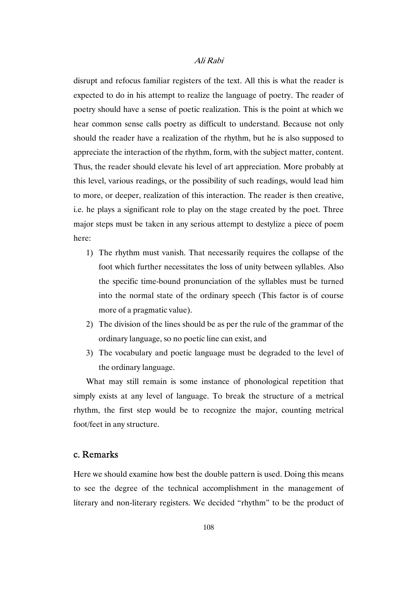disrupt and refocus familiar registers of the text. All this is what the reader is expected to do in his attempt to realize the language of poetry. The reader of poetry should have a sense of poetic realization. This is the point at which we hear common sense calls poetry as difficult to understand. Because not only should the reader have a realization of the rhythm, but he is also supposed to appreciate the interaction of the rhythm, form, with the subject matter, content. Thus, the reader should elevate his level of art appreciation. More probably at this level, various readings, or the possibility of such readings, would lead him to more, or deeper, realization of this interaction. The reader is then creative, i.e. he plays a significant role to play on the stage created by the poet. Three major steps must be taken in any serious attempt to destylize a piece of poem here:

- 1) The rhythm must vanish. That necessarily requires the collapse of the foot which further necessitates the loss of unity between syllables. Also the specific time-bound pronunciation of the syllables must be turned into the normal state of the ordinary speech (This factor is of course more of a pragmatic value).
- 2) The division of the lines should be as per the rule of the grammar of the ordinary language, so no poetic line can exist, and
- 3) The vocabulary and poetic language must be degraded to the level of the ordinary language.

What may still remain is some instance of phonological repetition that simply exists at any level of language. To break the structure of a metrical rhythm, the first step would be to recognize the major, counting metrical foot/feet in any structure.

## c. Remarks

Here we should examine how best the double pattern is used. Doing this means to see the degree of the technical accomplishment in the management of literary and non-literary registers. We decided "rhythm" to be the product of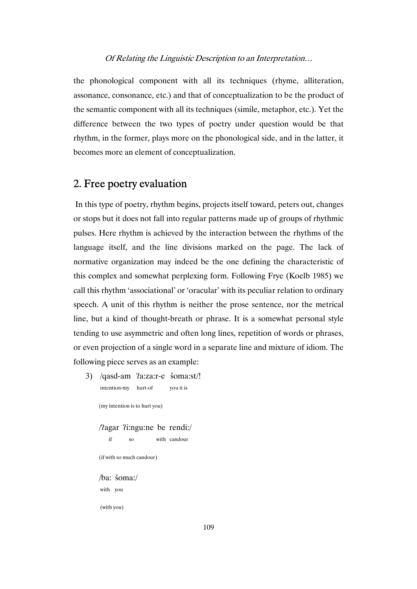the phonological component with all its techniques (rhyme, alliteration, assonance, consonance, etc.) and that of conceptualization to be the product of the semantic component with all its techniques (simile, metaphor, etc.). Yet the difference between the two types of poetry under question would be that rhythm, in the former, plays more on the phonological side, and in the latter, it becomes more an element of conceptualization.

# 2. Free poetry evaluation

 In this type of poetry, rhythm begins, projects itself toward, peters out, changes or stops but it does not fall into regular patterns made up of groups of rhythmic pulses. Here rhythm is achieved by the interaction between the rhythms of the language itself, and the line divisions marked on the page. The lack of normative organization may indeed be the one defining the characteristic of this complex and somewhat perplexing form. Following Frye (Koelb 1985) we call this rhythm 'associational' or 'oracular' with its peculiar relation to ordinary speech. A unit of this rhythm is neither the prose sentence, nor the metrical line, but a kind of thought-breath or phrase. It is a somewhat personal style tending to use asymmetric and often long lines, repetition of words or phrases, or even projection of a single word in a separate line and mixture of idiom. The following piece serves as an example:

 3) /qasd-am ʔa:za:r-e šoma:st/! intention-my hurt-of you it is

(my intention is to hurt you)

 /ʔagar ʔi:ngu:ne be rendi:/ if so with candour

(if with so much candour)

 /ba: šoma:/ with you

(with you)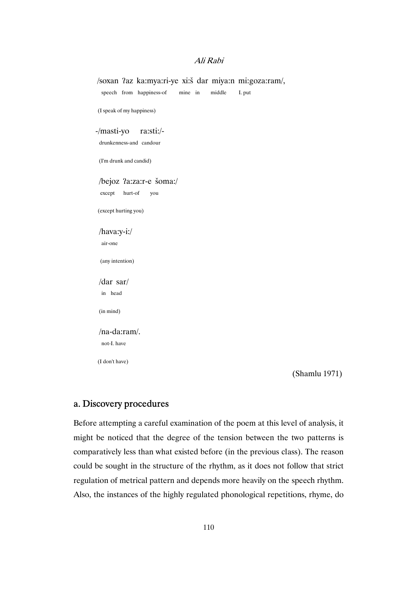# /soxan ʔaz ka:mya:ri-ye xi:š dar miya:n mi:goza:ram/, speech from happiness-of mine in middle I. put (I speak of my happiness) -/masti-yo ra:sti:/ drunkenness-and candour (I'm drunk and candid) /bejoz ʔa:za:r-e šoma:/ except hurt-of you (except hurting you) /hava:y-i:/ air-one (any intention) /dar sar/ in head (in mind) /na-da:ram/. not-I. have (I don't have)

(Shamlu 1971)

# a. Discovery procedures

Before attempting a careful examination of the poem at this level of analysis, it might be noticed that the degree of the tension between the two patterns is comparatively less than what existed before (in the previous class). The reason could be sought in the structure of the rhythm, as it does not follow that strict regulation of metrical pattern and depends more heavily on the speech rhythm. Also, the instances of the highly regulated phonological repetitions, rhyme, do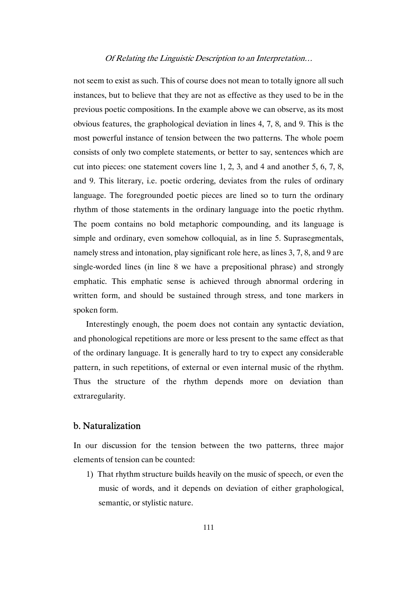not seem to exist as such. This of course does not mean to totally ignore all such instances, but to believe that they are not as effective as they used to be in the previous poetic compositions. In the example above we can observe, as its most obvious features, the graphological deviation in lines 4, 7, 8, and 9. This is the most powerful instance of tension between the two patterns. The whole poem consists of only two complete statements, or better to say, sentences which are cut into pieces: one statement covers line 1, 2, 3, and 4 and another 5, 6, 7, 8, and 9. This literary, i.e. poetic ordering, deviates from the rules of ordinary language. The foregrounded poetic pieces are lined so to turn the ordinary rhythm of those statements in the ordinary language into the poetic rhythm. The poem contains no bold metaphoric compounding, and its language is simple and ordinary, even somehow colloquial, as in line 5. Suprasegmentals, namely stress and intonation, play significant role here, as lines 3, 7, 8, and 9 are single-worded lines (in line 8 we have a prepositional phrase) and strongly emphatic. This emphatic sense is achieved through abnormal ordering in written form, and should be sustained through stress, and tone markers in spoken form.

Interestingly enough, the poem does not contain any syntactic deviation, and phonological repetitions are more or less present to the same effect as that of the ordinary language. It is generally hard to try to expect any considerable pattern, in such repetitions, of external or even internal music of the rhythm. Thus the structure of the rhythm depends more on deviation than extraregularity.

## b. Naturalization

In our discussion for the tension between the two patterns, three major elements of tension can be counted:

 1) That rhythm structure builds heavily on the music of speech, or even the music of words, and it depends on deviation of either graphological, semantic, or stylistic nature.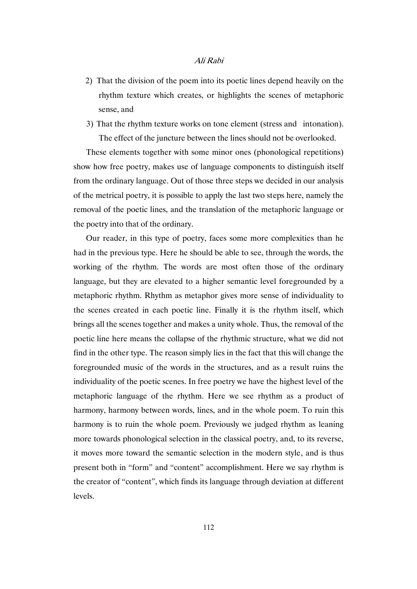- 2) That the division of the poem into its poetic lines depend heavily on the rhythm texture which creates, or highlights the scenes of metaphoric sense, and
- 3) That the rhythm texture works on tone element (stress and intonation). The effect of the juncture between the lines should not be overlooked.

These elements together with some minor ones (phonological repetitions) show how free poetry, makes use of language components to distinguish itself from the ordinary language. Out of those three steps we decided in our analysis of the metrical poetry, it is possible to apply the last two steps here, namely the removal of the poetic lines, and the translation of the metaphoric language or the poetry into that of the ordinary.

Our reader, in this type of poetry, faces some more complexities than he had in the previous type. Here he should be able to see, through the words, the working of the rhythm. The words are most often those of the ordinary language, but they are elevated to a higher semantic level foregrounded by a metaphoric rhythm. Rhythm as metaphor gives more sense of individuality to the scenes created in each poetic line. Finally it is the rhythm itself, which brings all the scenes together and makes a unity whole. Thus, the removal of the poetic line here means the collapse of the rhythmic structure, what we did not find in the other type. The reason simply lies in the fact that this will change the foregrounded music of the words in the structures, and as a result ruins the individuality of the poetic scenes. In free poetry we have the highest level of the metaphoric language of the rhythm. Here we see rhythm as a product of harmony, harmony between words, lines, and in the whole poem. To ruin this harmony is to ruin the whole poem. Previously we judged rhythm as leaning more towards phonological selection in the classical poetry, and, to its reverse, it moves more toward the semantic selection in the modern style, and is thus present both in "form" and "content" accomplishment. Here we say rhythm is the creator of "content", which finds its language through deviation at different levels.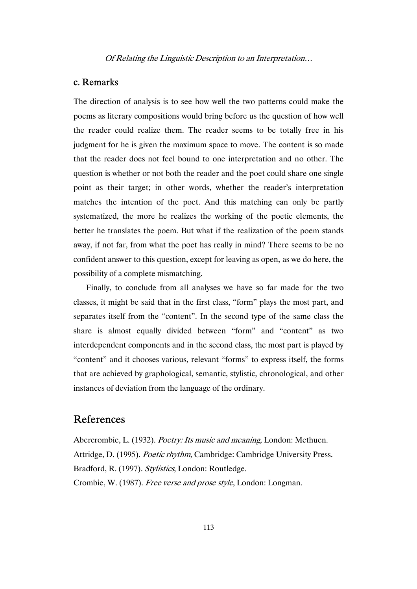### c. Remarks

The direction of analysis is to see how well the two patterns could make the poems as literary compositions would bring before us the question of how well the reader could realize them. The reader seems to be totally free in his judgment for he is given the maximum space to move. The content is so made that the reader does not feel bound to one interpretation and no other. The question is whether or not both the reader and the poet could share one single point as their target; in other words, whether the reader's interpretation matches the intention of the poet. And this matching can only be partly systematized, the more he realizes the working of the poetic elements, the better he translates the poem. But what if the realization of the poem stands away, if not far, from what the poet has really in mind? There seems to be no confident answer to this question, except for leaving as open, as we do here, the possibility of a complete mismatching.

Finally, to conclude from all analyses we have so far made for the two classes, it might be said that in the first class, "form" plays the most part, and separates itself from the "content". In the second type of the same class the share is almost equally divided between "form" and "content" as two interdependent components and in the second class, the most part is played by "content" and it chooses various, relevant "forms" to express itself, the forms that are achieved by graphological, semantic, stylistic, chronological, and other instances of deviation from the language of the ordinary.

# References

 Abercrombie, L. (1932). Poetry: Its music and meaning, London: Methuen. Attridge, D. (1995). Poetic rhythm, Cambridge: Cambridge University Press. Bradford, R. (1997). Stylistics, London: Routledge. Crombie, W. (1987). Free verse and prose style, London: Longman.